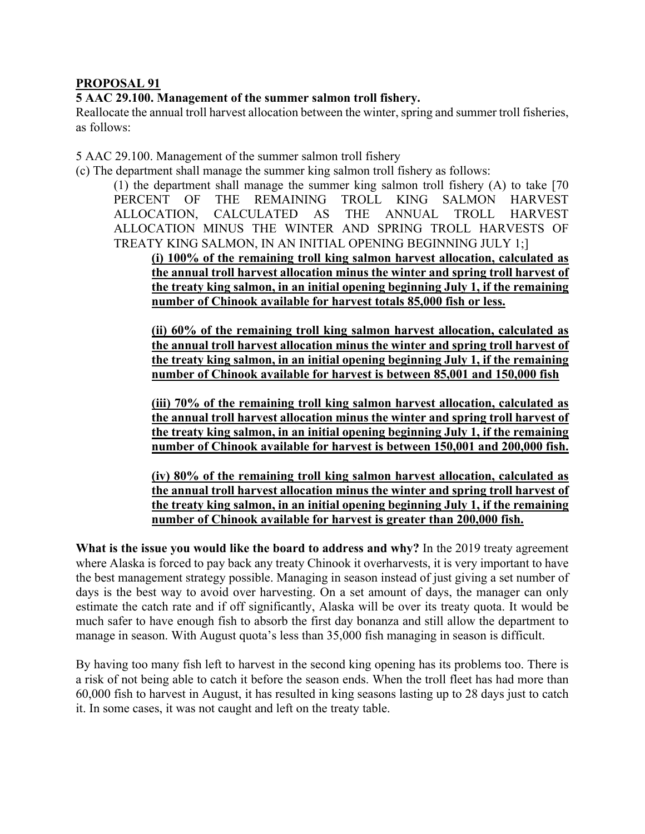## **PROPOSAL 91**

**5 AAC 29.100. Management of the summer salmon troll fishery.**

Reallocate the annual troll harvest allocation between the winter, spring and summer troll fisheries, as follows:

5 AAC 29.100. Management of the summer salmon troll fishery

(c) The department shall manage the summer king salmon troll fishery as follows:

(1) the department shall manage the summer king salmon troll fishery (A) to take [70 PERCENT OF THE REMAINING TROLL KING SALMON HARVEST ALLOCATION, CALCULATED AS THE ANNUAL TROLL HARVEST ALLOCATION MINUS THE WINTER AND SPRING TROLL HARVESTS OF TREATY KING SALMON, IN AN INITIAL OPENING BEGINNING JULY 1;]

**(i) 100% of the remaining troll king salmon harvest allocation, calculated as the annual troll harvest allocation minus the winter and spring troll harvest of the treaty king salmon, in an initial opening beginning July 1, if the remaining number of Chinook available for harvest totals 85,000 fish or less.**

**(ii) 60% of the remaining troll king salmon harvest allocation, calculated as the annual troll harvest allocation minus the winter and spring troll harvest of the treaty king salmon, in an initial opening beginning July 1, if the remaining number of Chinook available for harvest is between 85,001 and 150,000 fish**

**(iii) 70% of the remaining troll king salmon harvest allocation, calculated as the annual troll harvest allocation minus the winter and spring troll harvest of the treaty king salmon, in an initial opening beginning July 1, if the remaining number of Chinook available for harvest is between 150,001 and 200,000 fish.**

**(iv) 80% of the remaining troll king salmon harvest allocation, calculated as the annual troll harvest allocation minus the winter and spring troll harvest of the treaty king salmon, in an initial opening beginning July 1, if the remaining number of Chinook available for harvest is greater than 200,000 fish.**

**What is the issue you would like the board to address and why?** In the 2019 treaty agreement where Alaska is forced to pay back any treaty Chinook it overharvests, it is very important to have the best management strategy possible. Managing in season instead of just giving a set number of days is the best way to avoid over harvesting. On a set amount of days, the manager can only estimate the catch rate and if off significantly, Alaska will be over its treaty quota. It would be much safer to have enough fish to absorb the first day bonanza and still allow the department to manage in season. With August quota's less than 35,000 fish managing in season is difficult.

By having too many fish left to harvest in the second king opening has its problems too. There is a risk of not being able to catch it before the season ends. When the troll fleet has had more than 60,000 fish to harvest in August, it has resulted in king seasons lasting up to 28 days just to catch it. In some cases, it was not caught and left on the treaty table.